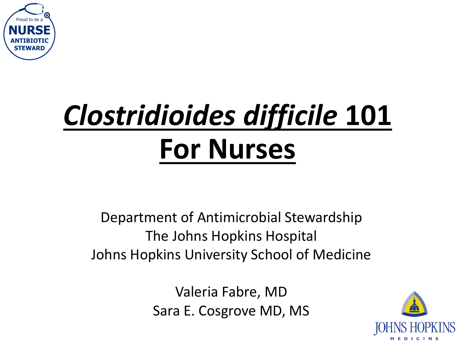

# *Clostridioides difficile* **101 For Nurses** SARIFIACTIC<br> **SARIFIACTIC CONSTANTING PORT MUTSES**<br>
Department of Antimicrobial Stev<br>
The Johns Hopkins Hospital<br>
Johns Hopkins University School of<br>
Valeria Fabre, MD<br>
Sara E. Cosgrove MD, MS

Department of Antimicrobial Stewardship The Johns Hopkins Hospital Johns Hopkins University School of Medicine

Valeria Fabre, MD

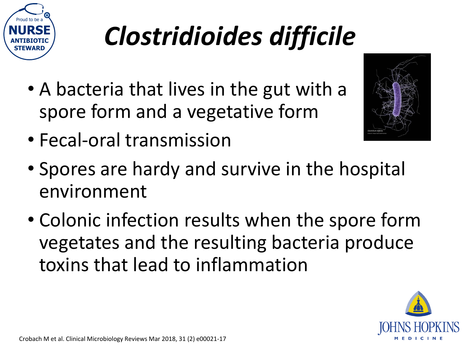

# *Clostridioides difficile*

- A bacteria that lives in the gut with a spore form and a vegetative form
- Fecal-oral transmission



- Spores are hardy and survive in the hospital environment
- Colonic infection results when the spore form vegetates and the resulting bacteria produce toxins that lead to inflammation

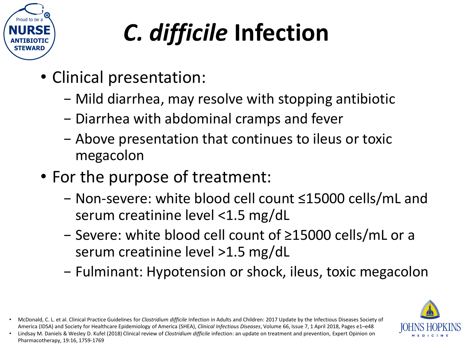

# *C. difficile* **Infection**

- Clinical presentation:
	- − Mild diarrhea, may resolve with stopping antibiotic
	- − Diarrhea with abdominal cramps and fever
	- − Above presentation that continues to ileus or toxic megacolon
- For the purpose of treatment:
	- − Non-severe: white blood cell count ≤15000 cells/mL and serum creatinine level <1.5 mg/dL
	- − Severe: white blood cell count of ≥15000 cells/mL or a serum creatinine level >1.5 mg/dL
	- − Fulminant: Hypotension or shock, ileus, toxic megacolon



• McDonald, C. L. et al. Clinical Practice Guidelines for *Clostridium difficile* Infection in Adults and Children: 2017 Update by the Infectious Diseases Society of America (IDSA) and Society for Healthcare Epidemiology of America (SHEA), *Clinical Infectious Diseases*, Volume 66, Issue 7, 1 April 2018, Pages e1–e48

<sup>•</sup> Lindsay M. Daniels & Wesley D. Kufel (2018) Clinical review of *Clostridium difficile* infection: an update on treatment and prevention, Expert Opinion on Pharmacotherapy, 19:16, 1759-1769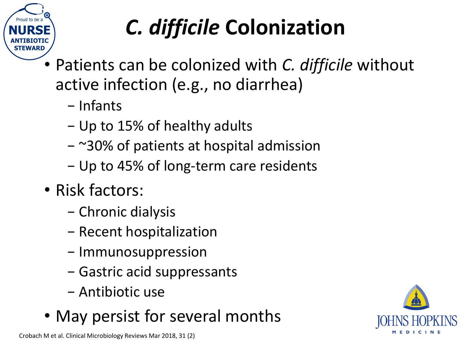

#### *C. difficile* **Colonization**

- Patients can be colonized with *C. difficile* without active infection (e.g., no diarrhea)
	- − Infants
	- − Up to 15% of healthy adults
	- − ~30% of patients at hospital admission
	- − Up to 45% of long-term care residents
- Risk factors:
	- − Chronic dialysis
	- − Recent hospitalization
	- − Immunosuppression
	- − Gastric acid suppressants
	- − Antibiotic use
- May persist for several months

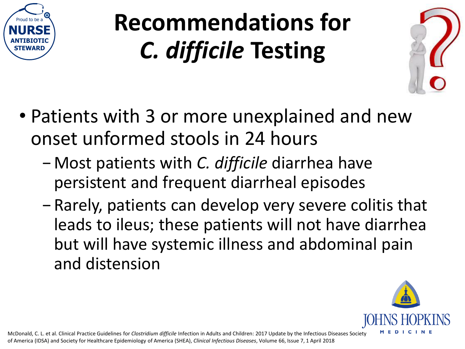

### **Recommendations for**  *C. difficile* **Testing**



- Patients with 3 or more unexplained and new onset unformed stools in 24 hours
	- − Most patients with *C. difficile* diarrhea have persistent and frequent diarrheal episodes
	- − Rarely, patients can develop very severe colitis that leads to ileus; these patients will not have diarrhea but will have systemic illness and abdominal pain and distension

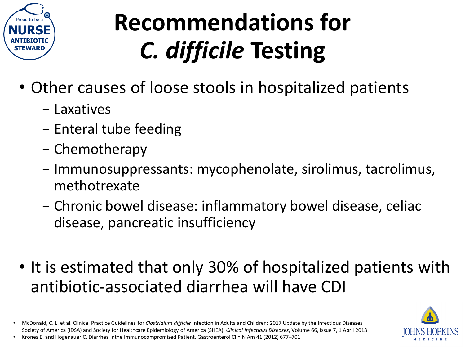

### **Recommendations for**  *C. difficile* **Testing**

- Other causes of loose stools in hospitalized patients
	- − Laxatives
	- − Enteral tube feeding
	- − Chemotherapy
	- − Immunosuppressants: mycophenolate, sirolimus, tacrolimus, methotrexate
	- − Chronic bowel disease: inflammatory bowel disease, celiac disease, pancreatic insufficiency
- It is estimated that only 30% of hospitalized patients with antibiotic-associated diarrhea will have CDI

• McDonald, C. L. et al. Clinical Practice Guidelines for *Clostridium difficile* Infection in Adults and Children: 2017 Update by the Infectious Diseases Society of America (IDSA) and Society for Healthcare Epidemiology of America (SHEA), *Clinical Infectious Diseases*, Volume 66, Issue 7, 1 April 2018 • Krones E. and Hogenauer C. Diarrhea inthe Immunocompromised Patient. Gastroenterol Clin N Am 41 (2012) 677–701

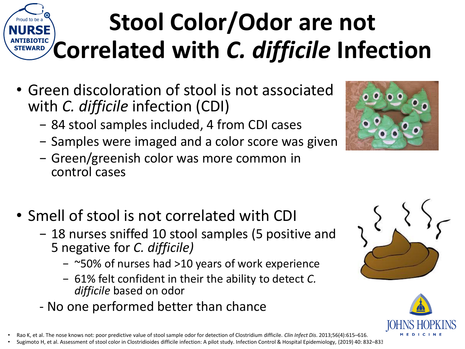#### Proud to be a **NURSE**  $\frac{\text{AFTEMARD}}{\text{SFENARD}}$  Correlated with *C. difficile* Infection **STEWARD Stool Color/Odor are not**

- Green discoloration of stool is not associated with *C. difficile* infection (CDI)
	- − 84 stool samples included, 4 from CDI cases
	- − Samples were imaged and a color score was given
	- − Green/greenish color was more common in control cases
- Smell of stool is not correlated with CDI
	- − 18 nurses sniffed 10 stool samples (5 positive and 5 negative for *C. difficile)*
		- − ~50% of nurses had >10 years of work experience
		- − 61% felt confident in their the ability to detect *C. difficile* based on odor
	- No one performed better than chance
- Rao K, et al. The nose knows not: poor predictive value of stool sample odor for detection of Clostridium difficile. *Clin Infect Dis*. 2013;56(4):615–616.
- Sugimoto H, et al. Assessment of stool color in Clostridioides difficile infection: A pilot study. Infection Control & Hospital Epidemiology, (2019) 40: 832–833





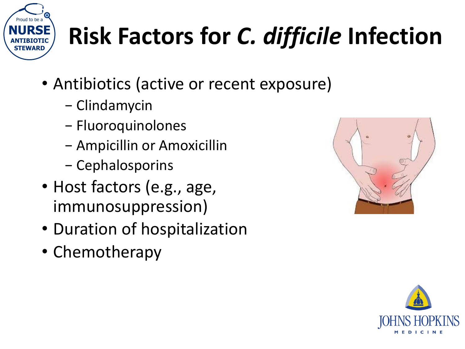

# **Risk Factors for** *C. difficile* **Infection**

- Antibiotics (active or recent exposure)
	- − Clindamycin
	- − Fluoroquinolones
	- − Ampicillin or Amoxicillin
	- − Cephalosporins
- Host factors (e.g., age, immunosuppression)
- Duration of hospitalization
- Chemotherapy



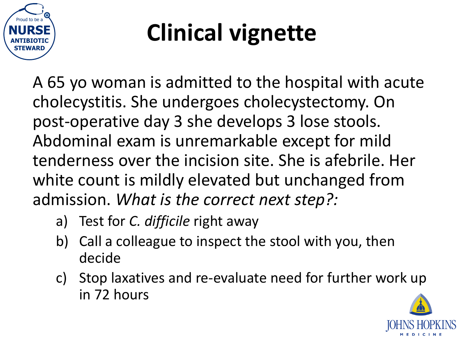

# **Clinical vignette**

A 65 yo woman is admitted to the hospital with acute cholecystitis. She undergoes cholecystectomy. On post-operative day 3 she develops 3 lose stools. Abdominal exam is unremarkable except for mild tenderness over the incision site. She is afebrile. Her white count is mildly elevated but unchanged from admission. *What is the correct next step?:*

- a) Test for *C. difficile* right away
- b) Call a colleague to inspect the stool with you, then decide
- c) Stop laxatives and re-evaluate need for further work up in 72 hours